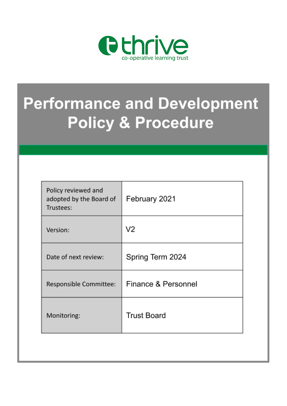

# **Performance and Development Policy & Procedure**

| Policy reviewed and<br>adopted by the Board of<br>Trustees: | February 2021       |
|-------------------------------------------------------------|---------------------|
| Version:                                                    | V2                  |
| Date of next review:                                        | Spring Term 2024    |
| Responsible Committee:                                      | Finance & Personnel |
| Monitoring:                                                 | <b>Trust Board</b>  |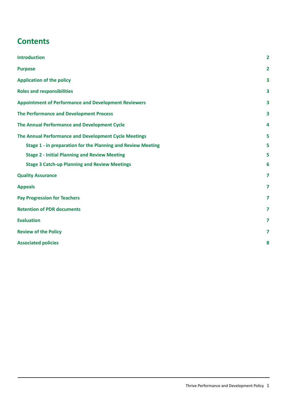## **Contents**

| <b>Introduction</b>                                          | $\overline{2}$ |
|--------------------------------------------------------------|----------------|
| <b>Purpose</b>                                               | $\overline{2}$ |
| <b>Application of the policy</b>                             | 3              |
| <b>Roles and responsibilities</b>                            | 3              |
| <b>Appointment of Performance and Development Reviewers</b>  | 3              |
| <b>The Performance and Development Process</b>               | 3              |
| The Annual Performance and Development Cycle                 | 4              |
| The Annual Performance and Development Cycle Meetings        | 5              |
| Stage 1 - in preparation for the Planning and Review Meeting | 5              |
| <b>Stage 2 - Initial Planning and Review Meeting</b>         | 5              |
| <b>Stage 3 Catch-up Planning and Review Meetings</b>         | 6              |
| <b>Quality Assurance</b>                                     | 7              |
| <b>Appeals</b>                                               | $\overline{7}$ |
| <b>Pay Progression for Teachers</b>                          | $\overline{7}$ |
| <b>Retention of PDR documents</b>                            | $\overline{7}$ |
| <b>Evaluation</b>                                            | $\overline{7}$ |
| <b>Review of the Policy</b>                                  | 7              |
| <b>Associated policies</b>                                   |                |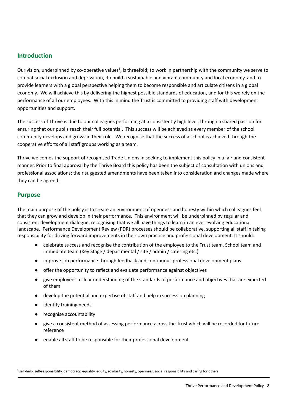#### <span id="page-2-0"></span>**Introduction**

Our vision, underpinned by co-operative values<sup>1</sup>, is threefold; to work in partnership with the community we serve to combat social exclusion and deprivation, to build a sustainable and vibrant community and local economy, and to provide learners with a global perspective helping them to become responsible and articulate citizens in a global economy. We will achieve this by delivering the highest possible standards of education, and for this we rely on the performance of all our employees. With this in mind the Trust is committed to providing staff with development opportunities and support.

The success of Thrive is due to our colleagues performing at a consistently high level, through a shared passion for ensuring that our pupils reach their full potential. This success will be achieved as every member of the school community develops and grows in their role. We recognise that the success of a school is achieved through the cooperative efforts of all staff groups working as a team.

Thrive welcomes the support of recognised Trade Unions in seeking to implement this policy in a fair and consistent manner. Prior to final approval by the Thrive Board this policy has been the subject of consultation with unions and professional associations; their suggested amendments have been taken into consideration and changes made where they can be agreed.

#### <span id="page-2-1"></span>**Purpose**

The main purpose of the policy is to create an environment of openness and honesty within which colleagues feel that they can grow and develop in their performance. This environment will be underpinned by regular and consistent development dialogue, recognising that we all have things to learn in an ever evolving educational landscape. Performance Development Review (PDR) processes should be collaborative, supporting all staff in taking responsibility for driving forward improvements in their own practice and professional development. It should:

- celebrate success and recognise the contribution of the employee to the Trust team, School team and immediate team (Key Stage / departmental / site / admin / catering etc.)
- improve job performance through feedback and continuous professional development plans
- offer the opportunity to reflect and evaluate performance against objectives
- give employees a clear understanding of the standards of performance and objectives that are expected of them
- develop the potential and expertise of staff and help in succession planning
- identify training needs
- recognise accountability
- give a consistent method of assessing performance across the Trust which will be recorded for future reference
- enable all staff to be responsible for their professional development.

<sup>&</sup>lt;sup>1</sup> self-help, self-responsibility, democracy, equality, equity, solidarity, honesty, openness, social responsibility and caring for others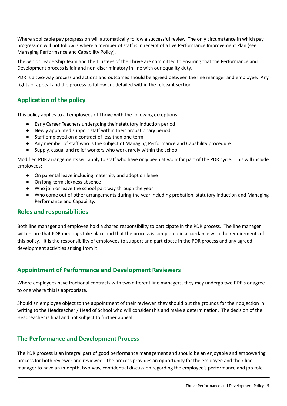Where applicable pay progression will automatically follow a successful review. The only circumstance in which pay progression will not follow is where a member of staff is in receipt of a live Performance Improvement Plan (see Managing Performance and Capability Policy).

The Senior Leadership Team and the Trustees of the Thrive are committed to ensuring that the Performance and Development process is fair and non-discriminatory in line with our equality duty.

PDR is a two-way process and actions and outcomes should be agreed between the line manager and employee. Any rights of appeal and the process to follow are detailed within the relevant section.

## <span id="page-3-0"></span>**Application of the policy**

This policy applies to all employees of Thrive with the following exceptions:

- Early Career Teachers undergoing their statutory induction period
- Newly appointed support staff within their probationary period
- Staff employed on a contract of less than one term
- Any member of staff who is the subject of Managing Performance and Capability procedure
- Supply, casual and relief workers who work rarely within the school

Modified PDR arrangements will apply to staff who have only been at work for part of the PDR cycle. This will include employees:

- On parental leave including maternity and adoption leave
- On long-term sickness absence
- Who join or leave the school part way through the year
- Who come out of other arrangements during the year including probation, statutory induction and Managing Performance and Capability.

#### <span id="page-3-1"></span>**Roles and responsibilities**

Both line manager and employee hold a shared responsibility to participate in the PDR process. The line manager will ensure that PDR meetings take place and that the process is completed in accordance with the requirements of this policy. It is the responsibility of employees to support and participate in the PDR process and any agreed development activities arising from it.

## <span id="page-3-2"></span>**Appointment of Performance and Development Reviewers**

Where employees have fractional contracts with two different line managers, they may undergo two PDR's or agree to one where this is appropriate.

Should an employee object to the appointment of their reviewer, they should put the grounds for their objection in writing to the Headteacher / Head of School who will consider this and make a determination. The decision of the Headteacher is final and not subject to further appeal.

## <span id="page-3-3"></span>**The Performance and Development Process**

The PDR process is an integral part of good performance management and should be an enjoyable and empowering process for both reviewer and reviewee. The process provides an opportunity for the employee and their line manager to have an in-depth, two-way, confidential discussion regarding the employee's performance and job role.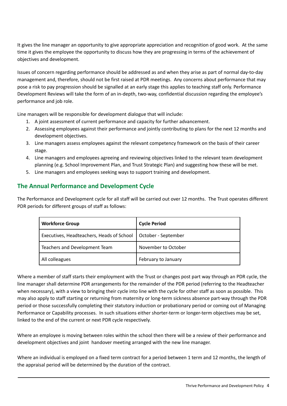It gives the line manager an opportunity to give appropriate appreciation and recognition of good work. At the same time it gives the employee the opportunity to discuss how they are progressing in terms of the achievement of objectives and development.

Issues of concern regarding performance should be addressed as and when they arise as part of normal day-to-day management and, therefore, should not be first raised at PDR meetings. Any concerns about performance that may pose a risk to pay progression should be signalled at an early stage this applies to teaching staff only. Performance Development Reviews will take the form of an in-depth, two-way, confidential discussion regarding the employee's performance and job role.

Line managers will be responsible for development dialogue that will include:

- 1. A joint assessment of current performance and capacity for further advancement.
- 2. Assessing employees against their performance and jointly contributing to plans for the next 12 months and development objectives.
- 3. Line managers assess employees against the relevant competency framework on the basis of their career stage.
- 4. Line managers and employees agreeing and reviewing objectives linked to the relevant team development planning (e.g. School Improvement Plan, and Trust Strategic Plan) and suggesting how these will be met.
- 5. Line managers and employees seeking ways to support training and development.

## <span id="page-4-0"></span>**The Annual Performance and Development Cycle**

The Performance and Development cycle for all staff will be carried out over 12 months. The Trust operates different PDR periods for different groups of staff as follows:

| <b>Workforce Group</b>                    | <b>Cycle Period</b> |
|-------------------------------------------|---------------------|
| Executives, Headteachers, Heads of School | October - September |
| Teachers and Development Team             | November to October |
| All colleagues                            | February to January |

Where a member of staff starts their employment with the Trust or changes post part way through an PDR cycle, the line manager shall determine PDR arrangements for the remainder of the PDR period (referring to the Headteacher when necessary), with a view to bringing their cycle into line with the cycle for other staff as soon as possible. This may also apply to staff starting or returning from maternity or long-term sickness absence part-way through the PDR period or those successfully completing their statutory induction or probationary period or coming out of Managing Performance or Capability processes. In such situations either shorter-term or longer-term objectives may be set, linked to the end of the current or next PDR cycle respectively.

Where an employee is moving between roles within the school then there will be a review of their performance and development objectives and joint handover meeting arranged with the new line manager.

Where an individual is employed on a fixed term contract for a period between 1 term and 12 months, the length of the appraisal period will be determined by the duration of the contract.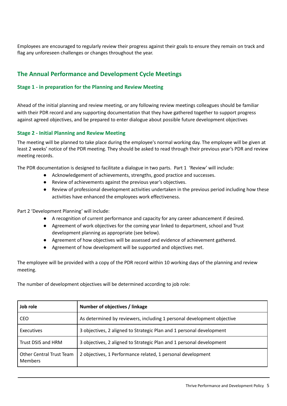Employees are encouraged to regularly review their progress against their goals to ensure they remain on track and flag any unforeseen challenges or changes throughout the year.

## <span id="page-5-0"></span>**The Annual Performance and Development Cycle Meetings**

#### <span id="page-5-1"></span>**Stage 1 - in preparation for the Planning and Review Meeting**

Ahead of the initial planning and review meeting, or any following review meetings colleagues should be familiar with their PDR record and any supporting documentation that they have gathered together to support progress against agreed objectives, and be prepared to enter dialogue about possible future development objectives

#### <span id="page-5-2"></span>**Stage 2 - Initial Planning and Review Meeting**

The meeting will be planned to take place during the employee's normal working day. The employee will be given at least 2 weeks' notice of the PDR meeting. They should be asked to read through their previous year's PDR and review meeting records.

The PDR documentation is designed to facilitate a dialogue in two parts. Part 1 'Review' will include:

- Acknowledgement of achievements, strengths, good practice and successes.
- Review of achievements against the previous year's objectives.
- Review of professional development activities undertaken in the previous period including how these activities have enhanced the employees work effectiveness.

Part 2 'Development Planning' will include:

- A recognition of current performance and capacity for any career advancement if desired.
- Agreement of work objectives for the coming year linked to department, school and Trust development planning as appropriate (see below).
- Agreement of how objectives will be assessed and evidence of achievement gathered.
- Agreement of how development will be supported and objectives met.

The employee will be provided with a copy of the PDR record within 10 working days of the planning and review meeting.

The number of development objectives will be determined according to job role:

| Job role                                   | Number of objectives / linkage                                         |
|--------------------------------------------|------------------------------------------------------------------------|
| <b>CEO</b>                                 | As determined by reviewers, including 1 personal development objective |
| Executives                                 | 3 objectives, 2 aligned to Strategic Plan and 1 personal development   |
| Trust DSIS and HRM                         | 3 objectives, 2 aligned to Strategic Plan and 1 personal development   |
| Other Central Trust Team<br><b>Members</b> | 2 objectives, 1 Performance related, 1 personal development            |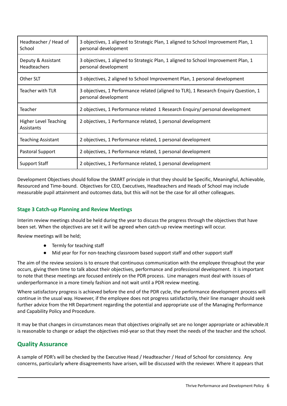| Headteacher / Head of<br>School            | 3 objectives, 1 aligned to Strategic Plan, 1 aligned to School Improvement Plan, 1<br>personal development   |
|--------------------------------------------|--------------------------------------------------------------------------------------------------------------|
| Deputy & Assistant<br><b>Headteachers</b>  | 3 objectives, 1 aligned to Strategic Plan, 1 aligned to School Improvement Plan, 1<br>personal development   |
| Other SLT                                  | 3 objectives, 2 aligned to School Improvement Plan, 1 personal development                                   |
| <b>Teacher with TLR</b>                    | 3 objectives, 1 Performance related (aligned to TLR), 1 Research Enquiry Question, 1<br>personal development |
| <b>Teacher</b>                             | 2 objectives, 1 Performance related 1 Research Enquiry/ personal development                                 |
| <b>Higher Level Teaching</b><br>Assistants | 2 objectives, 1 Performance related, 1 personal development                                                  |
| <b>Teaching Assistant</b>                  | 2 objectives, 1 Performance related, 1 personal development                                                  |
| Pastoral Support                           | 2 objectives, 1 Performance related, 1 personal development                                                  |
| <b>Support Staff</b>                       | 2 objectives, 1 Performance related, 1 personal development                                                  |

Development Objectives should follow the SMART principle in that they should be Specific, Meaningful, Achievable, Resourced and Time-bound. Objectives for CEO, Executives, Headteachers and Heads of School may include measurable pupil attainment and outcomes data, but this will not be the case for all other colleagues.

#### <span id="page-6-0"></span>**Stage 3 Catch-up Planning and Review Meetings**

Interim review meetings should be held during the year to discuss the progress through the objectives that have been set. When the objectives are set it will be agreed when catch-up review meetings will occur.

Review meetings will be held;

- Termly for teaching staff
- Mid year for For non-teaching classroom based support staff and other support staff

The aim of the review sessions is to ensure that continuous communication with the employee throughout the year occurs, giving them time to talk about their objectives, performance and professional development. It is important to note that these meetings are focused entirely on the PDR process. Line managers must deal with issues of underperformance in a more timely fashion and not wait until a PDR review meeting.

Where satisfactory progress is achieved before the end of the PDR cycle, the performance development process will continue in the usual way. However, if the employee does not progress satisfactorily, their line manager should seek further advice from the HR Department regarding the potential and appropriate use of the Managing Performance and Capability Policy and Procedure.

It may be that changes in circumstances mean that objectives originally set are no longer appropriate or achievable.It is reasonable to change or adapt the objectives mid-year so that they meet the needs of the teacher and the school.

## <span id="page-6-1"></span>**Quality Assurance**

A sample of PDR's will be checked by the Executive Head / Headteacher / Head of School for consistency. Any concerns, particularly where disagreements have arisen, will be discussed with the reviewer. Where it appears that